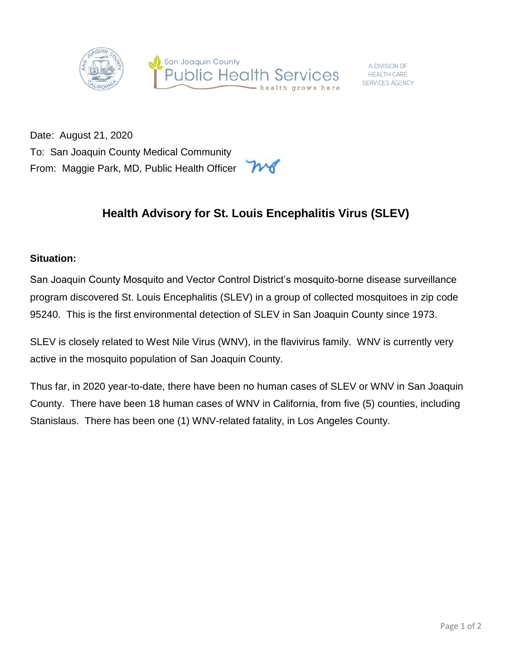

A DIVISION OF **HEALTH CARE** SERVICES AGENCY

Date: August 21, 2020 To: San Joaquin County Medical Community From: Maggie Park, MD, Public Health Officer

## **Health Advisory for St. Louis Encephalitis Virus (SLEV)**

## **Situation:**

San Joaquin County Mosquito and Vector Control District's mosquito-borne disease surveillance program discovered St. Louis Encephalitis (SLEV) in a group of collected mosquitoes in zip code 95240. This is the first environmental detection of SLEV in San Joaquin County since 1973.

SLEV is closely related to West Nile Virus (WNV), in the flavivirus family. WNV is currently very active in the mosquito population of San Joaquin County.

Thus far, in 2020 year-to-date, there have been no human cases of SLEV or WNV in San Joaquin County. There have been 18 human cases of WNV in California, from five (5) counties, including Stanislaus. There has been one (1) WNV-related fatality, in Los Angeles County.